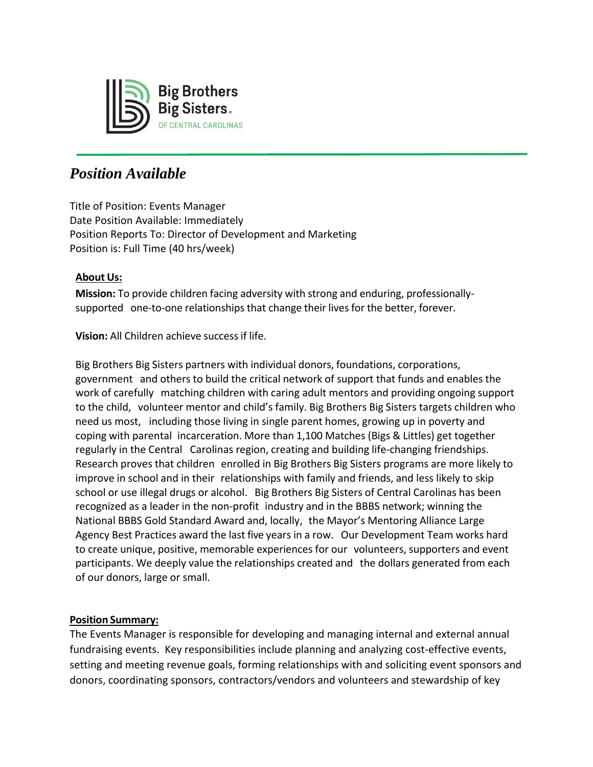

# *Position Available*

Title of Position: Events Manager Date Position Available: Immediately Position Reports To: Director of Development and Marketing Position is: Full Time (40 hrs/week)

# **About Us:**

**Mission:** To provide children facing adversity with strong and enduring, professionallysupported one-to-one relationships that change their lives for the better, forever.

**Vision:** All Children achieve successif life.

Big Brothers Big Sisters partners with individual donors, foundations, corporations, government and others to build the critical network of support that funds and enables the work of carefully matching children with caring adult mentors and providing ongoing support to the child, volunteer mentor and child's family. Big Brothers Big Sisters targets children who need us most, including those living in single parent homes, growing up in poverty and coping with parental incarceration. More than 1,100 Matches (Bigs & Littles) get together regularly in the Central Carolinas region, creating and building life-changing friendships. Research proves that children enrolled in Big Brothers Big Sisters programs are more likely to improve in school and in their relationships with family and friends, and less likely to skip school or use illegal drugs or alcohol. Big Brothers Big Sisters of Central Carolinas has been recognized as a leader in the non-profit industry and in the BBBS network; winning the National BBBS Gold Standard Award and, locally, the Mayor's Mentoring Alliance Large Agency Best Practices award the last five years in a row. Our Development Team works hard to create unique, positive, memorable experiences for our volunteers, supporters and event participants. We deeply value the relationships created and the dollars generated from each of our donors, large or small.

# **Position Summary:**

The Events Manager is responsible for developing and managing internal and external annual fundraising events. Key responsibilities include planning and analyzing cost-effective events, setting and meeting revenue goals, forming relationships with and soliciting event sponsors and donors, coordinating sponsors, contractors/vendors and volunteers and stewardship of key